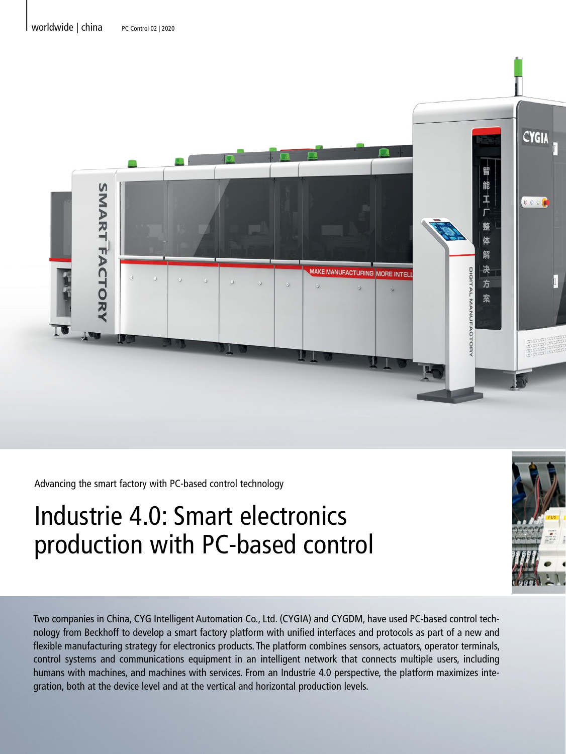

Advancing the smart factory with PC-based control technology

# Industrie 4.0: Smart electronics production with PC-based control

Two companies in China, CYG Intelligent Automation Co., Ltd. (CYGIA) and CYGDM, have used PC-based control technology from Beckhoff to develop a smart factory platform with unified interfaces and protocols as part of a new and flexible manufacturing strategy for electronics products. The platform combines sensors, actuators, operator terminals, control systems and communications equipment in an intelligent network that connects multiple users, including humans with machines, and machines with services. From an Industrie 4.0 perspective, the platform maximizes integration, both at the device level and at the vertical and horizontal production levels.

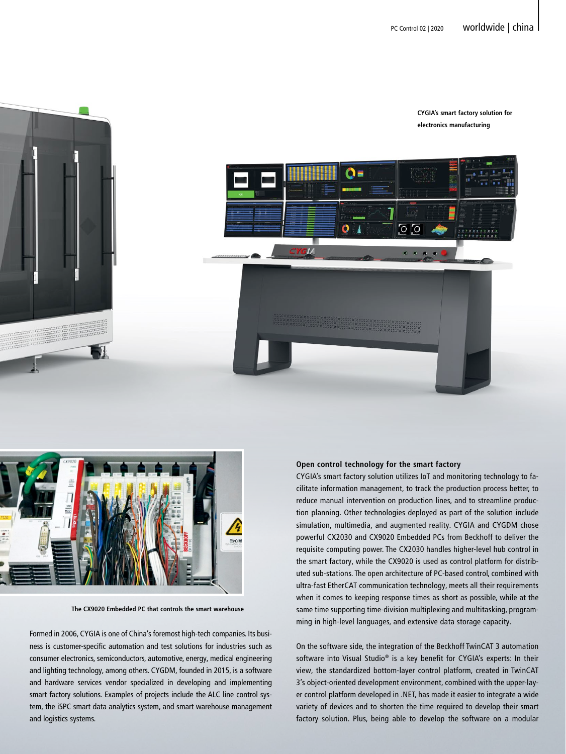



**The CX9020 Embedded PC that controls the smart warehouse**

Formed in 2006, CYGIA is one of China's foremost high-tech companies. Its business is customer-specific automation and test solutions for industries such as consumer electronics, semiconductors, automotive, energy, medical engineering and lighting technology, among others. CYGDM, founded in 2015, is a software and hardware services vendor specialized in developing and implementing smart factory solutions. Examples of projects include the ALC line control system, the iSPC smart data analytics system, and smart warehouse management and logistics systems.

### **Open control technology for the smart factory**

CYGIA's smart factory solution utilizes IoT and monitoring technology to facilitate information management, to track the production process better, to reduce manual intervention on production lines, and to streamline production planning. Other technologies deployed as part of the solution include simulation, multimedia, and augmented reality. CYGIA and CYGDM chose powerful CX2030 and CX9020 Embedded PCs from Beckhoff to deliver the requisite computing power. The CX2030 handles higher-level hub control in the smart factory, while the CX9020 is used as control platform for distributed sub-stations. The open architecture of PC-based control, combined with ultra-fast EtherCAT communication technology, meets all their requirements when it comes to keeping response times as short as possible, while at the same time supporting time-division multiplexing and multitasking, programming in high-level languages, and extensive data storage capacity.

On the software side, the integration of the Beckhoff TwinCAT 3 automation software into Visual Studio® is a key benefit for CYGIA's experts: In their view, the standardized bottom-layer control platform, created in TwinCAT 3's object-oriented development environment, combined with the upper-layer control platform developed in .NET, has made it easier to integrate a wide variety of devices and to shorten the time required to develop their smart factory solution. Plus, being able to develop the software on a modular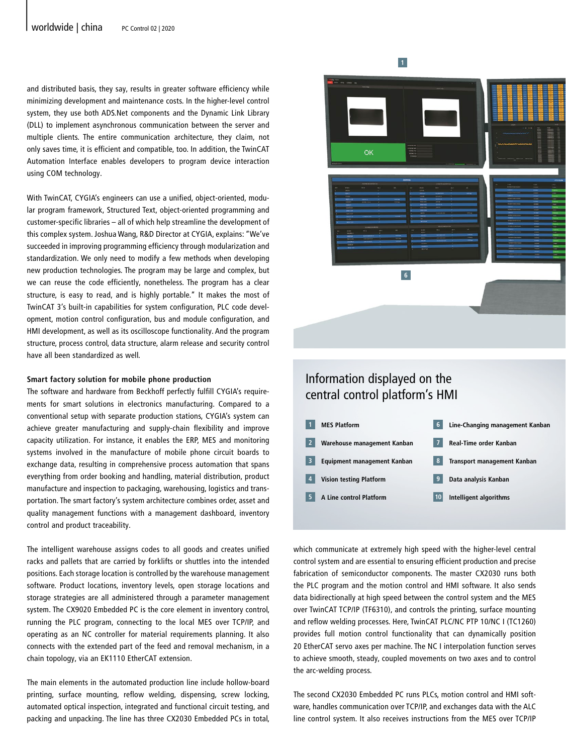and distributed basis, they say, results in greater software efficiency while minimizing development and maintenance costs. In the higher-level control system, they use both ADS.Net components and the Dynamic Link Library (DLL) to implement asynchronous communication between the server and multiple clients. The entire communication architecture, they claim, not only saves time, it is efficient and compatible, too. In addition, the TwinCAT Automation Interface enables developers to program device interaction using COM technology.

With TwinCAT, CYGIA's engineers can use a unified, object-oriented, modular program framework, Structured Text, object-oriented programming and customer-specific libraries – all of which help streamline the development of this complex system. Joshua Wang, R&D Director at CYGIA, explains: "We've succeeded in improving programming efficiency through modularization and standardization. We only need to modify a few methods when developing new production technologies. The program may be large and complex, but we can reuse the code efficiently, nonetheless. The program has a clear structure, is easy to read, and is highly portable." It makes the most of TwinCAT 3's built-in capabilities for system configuration, PLC code development, motion control configuration, bus and module configuration, and HMI development, as well as its oscilloscope functionality. And the program structure, process control, data structure, alarm release and security control have all been standardized as well.

## **Smart factory solution for mobile phone production**

The software and hardware from Beckhoff perfectly fulfill CYGIA's requirements for smart solutions in electronics manufacturing. Compared to a conventional setup with separate production stations, CYGIA's system can achieve greater manufacturing and supply-chain flexibility and improve capacity utilization. For instance, it enables the ERP, MES and monitoring systems involved in the manufacture of mobile phone circuit boards to exchange data, resulting in comprehensive process automation that spans everything from order booking and handling, material distribution, product manufacture and inspection to packaging, warehousing, logistics and transportation. The smart factory's system architecture combines order, asset and quality management functions with a management dashboard, inventory control and product traceability.

The intelligent warehouse assigns codes to all goods and creates unified racks and pallets that are carried by forklifts or shuttles into the intended positions. Each storage location is controlled by the warehouse management software. Product locations, inventory levels, open storage locations and storage strategies are all administered through a parameter management system. The CX9020 Embedded PC is the core element in inventory control, running the PLC program, connecting to the local MES over TCP/IP, and operating as an NC controller for material requirements planning. It also connects with the extended part of the feed and removal mechanism, in a chain topology, via an EK1110 EtherCAT extension.

The main elements in the automated production line include hollow-board printing, surface mounting, reflow welding, dispensing, screw locking, automated optical inspection, integrated and functional circuit testing, and packing and unpacking. The line has three CX2030 Embedded PCs in total,

ОK **6**

**1**

## Information displayed on the central control platform's HMI



which communicate at extremely high speed with the higher-level central control system and are essential to ensuring efficient production and precise fabrication of semiconductor components. The master CX2030 runs both the PLC program and the motion control and HMI software. It also sends data bidirectionally at high speed between the control system and the MES over TwinCAT TCP/IP (TF6310), and controls the printing, surface mounting and reflow welding processes. Here, TwinCAT PLC/NC PTP 10/NC I (TC1260) provides full motion control functionality that can dynamically position 20 EtherCAT servo axes per machine. The NC I interpolation function serves to achieve smooth, steady, coupled movements on two axes and to control the arc-welding process.

The second CX2030 Embedded PC runs PLCs, motion control and HMI software, handles communication over TCP/IP, and exchanges data with the ALC line control system. It also receives instructions from the MES over TCP/IP